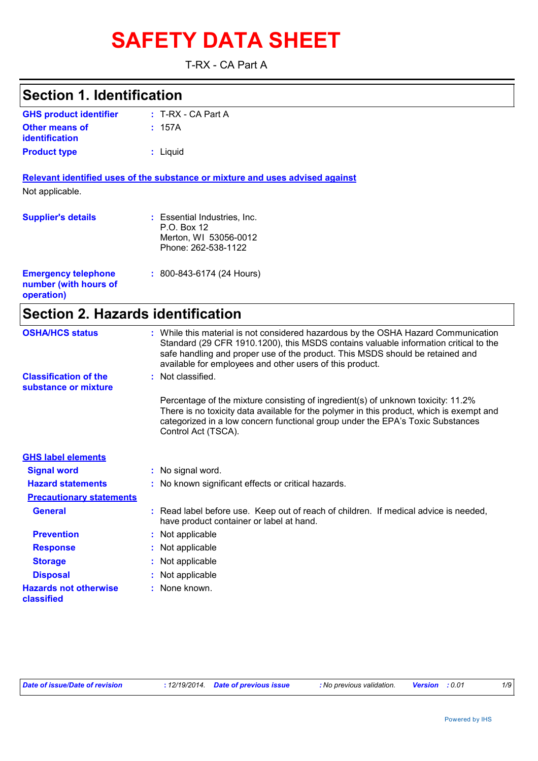# **SAFETY DATA SHEET**

T-RX - CA Part A

| <b>Section 1. Identification</b>                                  |                                                                                                                                                                                                                                                                                                                         |
|-------------------------------------------------------------------|-------------------------------------------------------------------------------------------------------------------------------------------------------------------------------------------------------------------------------------------------------------------------------------------------------------------------|
| <b>GHS product identifier</b>                                     | $: T-RX - CA$ Part A                                                                                                                                                                                                                                                                                                    |
| <b>Other means of</b><br>identification                           | : 157A                                                                                                                                                                                                                                                                                                                  |
| <b>Product type</b>                                               | : Liquid                                                                                                                                                                                                                                                                                                                |
|                                                                   | Relevant identified uses of the substance or mixture and uses advised against                                                                                                                                                                                                                                           |
| Not applicable.                                                   |                                                                                                                                                                                                                                                                                                                         |
| <b>Supplier's details</b>                                         | : Essential Industries, Inc.<br>P.O. Box 12<br>Merton, WI 53056-0012<br>Phone: 262-538-1122                                                                                                                                                                                                                             |
| <b>Emergency telephone</b><br>number (with hours of<br>operation) | $: 800 - 843 - 6174$ (24 Hours)                                                                                                                                                                                                                                                                                         |
| <b>Section 2. Hazards identification</b>                          |                                                                                                                                                                                                                                                                                                                         |
| <b>OSHA/HCS status</b>                                            | : While this material is not considered hazardous by the OSHA Hazard Communication<br>Standard (29 CFR 1910.1200), this MSDS contains valuable information critical to the<br>safe handling and proper use of the product. This MSDS should be retained and<br>available for employees and other users of this product. |
| <b>Classification of the</b><br>substance or mixture              | Not classified.                                                                                                                                                                                                                                                                                                         |
|                                                                   | Percentage of the mixture consisting of ingredient(s) of unknown toxicity: 11.2%<br>There is no toxicity data available for the polymer in this product, which is exempt and<br>categorized in a low concern functional group under the EPA's Toxic Substances<br>Control Act (TSCA).                                   |
| <b>GHS label elements</b>                                         |                                                                                                                                                                                                                                                                                                                         |
| <b>Signal word</b>                                                | : No signal word.                                                                                                                                                                                                                                                                                                       |
| <b>Hazard statements</b>                                          | : No known significant effects or critical hazards.                                                                                                                                                                                                                                                                     |
| <b>Precautionary statements</b>                                   |                                                                                                                                                                                                                                                                                                                         |
| <b>General</b>                                                    | Read label before use. Keep out of reach of children. If medical advice is needed,<br>have product container or label at hand.                                                                                                                                                                                          |
| <b>Prevention</b>                                                 | Not applicable                                                                                                                                                                                                                                                                                                          |
| <b>Response</b>                                                   | Not applicable                                                                                                                                                                                                                                                                                                          |
| <b>Storage</b>                                                    | Not applicable                                                                                                                                                                                                                                                                                                          |
| <b>Disposal</b>                                                   | Not applicable                                                                                                                                                                                                                                                                                                          |
| <b>Hazards not otherwise</b><br>classified                        | None known.                                                                                                                                                                                                                                                                                                             |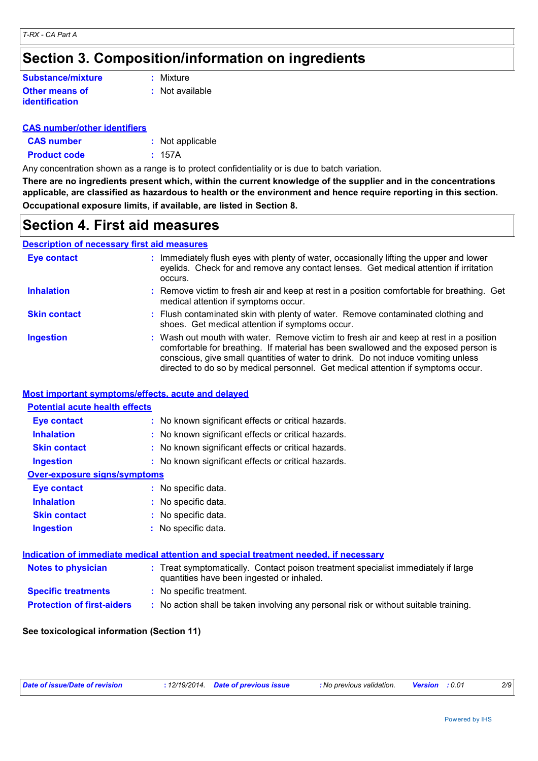### **Section 3. Composition/information on ingredients**

#### **Other means of identification Substance/mixture**

**:** Mixture

**:** Not available

#### **CAS number/other identifiers**

| <b>CAS number</b>   | : Not applicable |
|---------------------|------------------|
| <b>Product code</b> | : 157A           |

Any concentration shown as a range is to protect confidentiality or is due to batch variation.

**There are no ingredients present which, within the current knowledge of the supplier and in the concentrations applicable, are classified as hazardous to health or the environment and hence require reporting in this section. Occupational exposure limits, if available, are listed in Section 8.**

### **Section 4. First aid measures**

#### **Description of necessary first aid measures**

| <b>Eye contact</b>  | : Immediately flush eyes with plenty of water, occasionally lifting the upper and lower<br>eyelids. Check for and remove any contact lenses. Get medical attention if irritation<br>occurs.                                                                                                                                                            |
|---------------------|--------------------------------------------------------------------------------------------------------------------------------------------------------------------------------------------------------------------------------------------------------------------------------------------------------------------------------------------------------|
| <b>Inhalation</b>   | : Remove victim to fresh air and keep at rest in a position comfortable for breathing. Get<br>medical attention if symptoms occur.                                                                                                                                                                                                                     |
| <b>Skin contact</b> | : Flush contaminated skin with plenty of water. Remove contaminated clothing and<br>shoes. Get medical attention if symptoms occur.                                                                                                                                                                                                                    |
| <b>Ingestion</b>    | : Wash out mouth with water. Remove victim to fresh air and keep at rest in a position<br>comfortable for breathing. If material has been swallowed and the exposed person is<br>conscious, give small quantities of water to drink. Do not induce vomiting unless<br>directed to do so by medical personnel. Get medical attention if symptoms occur. |

#### **Most important symptoms/effects, acute and delayed**

| <b>Potential acute health effects</b> |                                                                                                                                |
|---------------------------------------|--------------------------------------------------------------------------------------------------------------------------------|
| Eye contact                           | : No known significant effects or critical hazards.                                                                            |
| <b>Inhalation</b>                     | : No known significant effects or critical hazards.                                                                            |
| <b>Skin contact</b>                   | : No known significant effects or critical hazards.                                                                            |
| <b>Ingestion</b>                      | : No known significant effects or critical hazards.                                                                            |
| <b>Over-exposure signs/symptoms</b>   |                                                                                                                                |
| Eye contact                           | : No specific data.                                                                                                            |
| <b>Inhalation</b>                     | : No specific data.                                                                                                            |
| <b>Skin contact</b>                   | : No specific data.                                                                                                            |
| <b>Ingestion</b>                      | : No specific data.                                                                                                            |
|                                       | Indication of immediate medical attention and special treatment needed, if necessary                                           |
| <b>Notes to physician</b>             | : Treat symptomatically. Contact poison treatment specialist immediately if large<br>quantities have been ingested or inhaled. |
| <b>Specific treatments</b>            | : No specific treatment.                                                                                                       |
| <b>Protection of first-aiders</b>     | : No action shall be taken involving any personal risk or without suitable training.                                           |

#### **See toxicological information (Section 11)**

| Date of issue/Date of revision | : 12/19/2014 Date of previous issue | : No previous validation. | Version | :0.01 | 2/9 |
|--------------------------------|-------------------------------------|---------------------------|---------|-------|-----|
|                                |                                     |                           |         |       |     |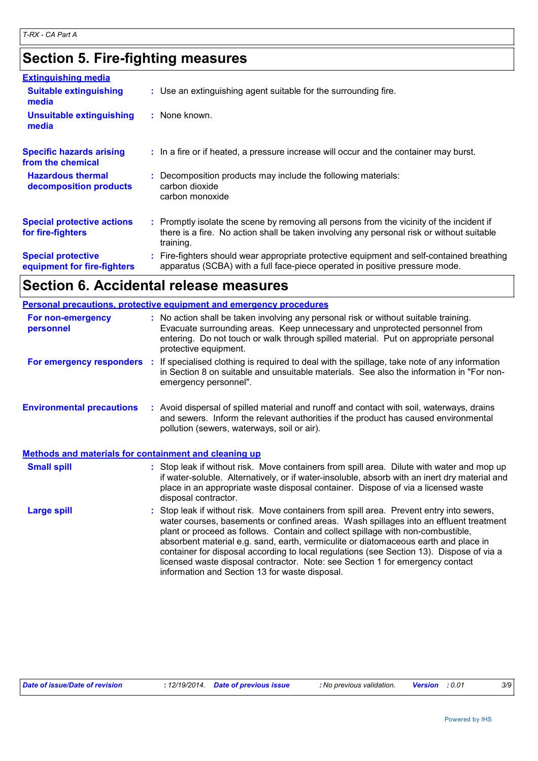### **Section 5. Fire-fighting measures**

| <b>Extinguishing media</b>                               |                                                                                                                                                                                                     |
|----------------------------------------------------------|-----------------------------------------------------------------------------------------------------------------------------------------------------------------------------------------------------|
| <b>Suitable extinguishing</b><br>media                   | : Use an extinguishing agent suitable for the surrounding fire.                                                                                                                                     |
| <b>Unsuitable extinguishing</b><br>media                 | : None known.                                                                                                                                                                                       |
| <b>Specific hazards arising</b><br>from the chemical     | : In a fire or if heated, a pressure increase will occur and the container may burst.                                                                                                               |
| <b>Hazardous thermal</b><br>decomposition products       | : Decomposition products may include the following materials:<br>carbon dioxide<br>carbon monoxide                                                                                                  |
| <b>Special protective actions</b><br>for fire-fighters   | : Promptly isolate the scene by removing all persons from the vicinity of the incident if<br>there is a fire. No action shall be taken involving any personal risk or without suitable<br>training. |
| <b>Special protective</b><br>equipment for fire-fighters | : Fire-fighters should wear appropriate protective equipment and self-contained breathing<br>apparatus (SCBA) with a full face-piece operated in positive pressure mode.                            |

### **Section 6. Accidental release measures**

| <b>Personal precautions, protective equipment and emergency procedures</b> |                                                                                                                                                                                                                                                                                                                                                                                                                                                                                                                                                                                          |  |  |  |
|----------------------------------------------------------------------------|------------------------------------------------------------------------------------------------------------------------------------------------------------------------------------------------------------------------------------------------------------------------------------------------------------------------------------------------------------------------------------------------------------------------------------------------------------------------------------------------------------------------------------------------------------------------------------------|--|--|--|
| For non-emergency<br>personnel                                             | : No action shall be taken involving any personal risk or without suitable training.<br>Evacuate surrounding areas. Keep unnecessary and unprotected personnel from<br>entering. Do not touch or walk through spilled material. Put on appropriate personal<br>protective equipment.                                                                                                                                                                                                                                                                                                     |  |  |  |
| For emergency responders :                                                 | If specialised clothing is required to deal with the spillage, take note of any information<br>in Section 8 on suitable and unsuitable materials. See also the information in "For non-<br>emergency personnel".                                                                                                                                                                                                                                                                                                                                                                         |  |  |  |
| <b>Environmental precautions</b>                                           | : Avoid dispersal of spilled material and runoff and contact with soil, waterways, drains<br>and sewers. Inform the relevant authorities if the product has caused environmental<br>pollution (sewers, waterways, soil or air).                                                                                                                                                                                                                                                                                                                                                          |  |  |  |
| Methods and materials for containment and cleaning up                      |                                                                                                                                                                                                                                                                                                                                                                                                                                                                                                                                                                                          |  |  |  |
| <b>Small spill</b>                                                         | : Stop leak if without risk. Move containers from spill area. Dilute with water and mop up<br>if water-soluble. Alternatively, or if water-insoluble, absorb with an inert dry material and<br>place in an appropriate waste disposal container. Dispose of via a licensed waste<br>disposal contractor.                                                                                                                                                                                                                                                                                 |  |  |  |
| <b>Large spill</b>                                                         | Stop leak if without risk. Move containers from spill area. Prevent entry into sewers,<br>water courses, basements or confined areas. Wash spillages into an effluent treatment<br>plant or proceed as follows. Contain and collect spillage with non-combustible,<br>absorbent material e.g. sand, earth, vermiculite or diatomaceous earth and place in<br>container for disposal according to local regulations (see Section 13). Dispose of via a<br>licensed waste disposal contractor. Note: see Section 1 for emergency contact<br>information and Section 13 for waste disposal. |  |  |  |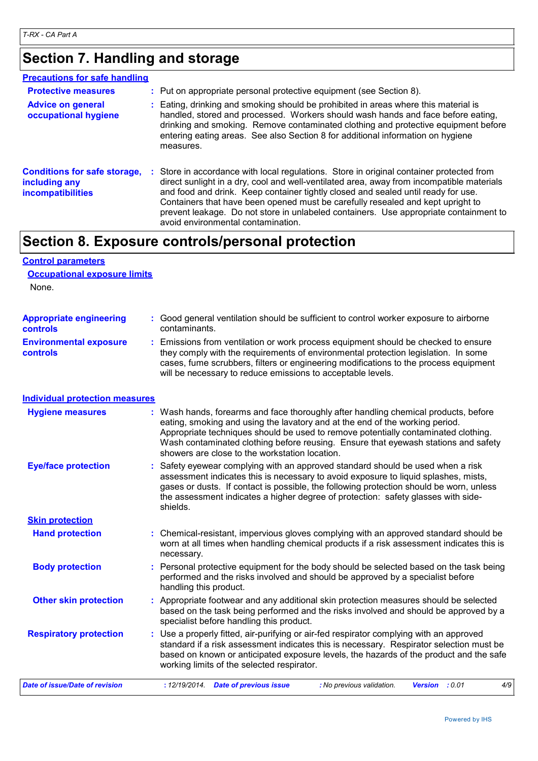### **Section 7. Handling and storage**

| <b>Precautions for safe handling</b>                                             |                                                                                                                                                                                                                                                                                                                                                                                                                                                                                              |
|----------------------------------------------------------------------------------|----------------------------------------------------------------------------------------------------------------------------------------------------------------------------------------------------------------------------------------------------------------------------------------------------------------------------------------------------------------------------------------------------------------------------------------------------------------------------------------------|
| <b>Protective measures</b>                                                       | : Put on appropriate personal protective equipment (see Section 8).                                                                                                                                                                                                                                                                                                                                                                                                                          |
| <b>Advice on general</b><br>occupational hygiene                                 | : Eating, drinking and smoking should be prohibited in areas where this material is<br>handled, stored and processed. Workers should wash hands and face before eating,<br>drinking and smoking. Remove contaminated clothing and protective equipment before<br>entering eating areas. See also Section 8 for additional information on hygiene<br>measures.                                                                                                                                |
| <b>Conditions for safe storage,</b><br>including any<br><b>incompatibilities</b> | : Store in accordance with local regulations. Store in original container protected from<br>direct sunlight in a dry, cool and well-ventilated area, away from incompatible materials<br>and food and drink. Keep container tightly closed and sealed until ready for use.<br>Containers that have been opened must be carefully resealed and kept upright to<br>prevent leakage. Do not store in unlabeled containers. Use appropriate containment to<br>avoid environmental contamination. |

### **Section 8. Exposure controls/personal protection**

### **Control parameters Occupational exposure limits**

None.

| <b>Appropriate engineering</b>                   | : Good general ventilation should be sufficient to control worker exposure to airborne                                                                                                                                                                                                                                          |
|--------------------------------------------------|---------------------------------------------------------------------------------------------------------------------------------------------------------------------------------------------------------------------------------------------------------------------------------------------------------------------------------|
| <b>controls</b>                                  | contaminants.                                                                                                                                                                                                                                                                                                                   |
| <b>Environmental exposure</b><br><b>controls</b> | : Emissions from ventilation or work process equipment should be checked to ensure<br>they comply with the requirements of environmental protection legislation. In some<br>cases, fume scrubbers, filters or engineering modifications to the process equipment<br>will be necessary to reduce emissions to acceptable levels. |

#### **Individual protection measures**

| <b>Hygiene measures</b>        | : Wash hands, forearms and face thoroughly after handling chemical products, before<br>eating, smoking and using the lavatory and at the end of the working period.<br>Appropriate techniques should be used to remove potentially contaminated clothing.<br>Wash contaminated clothing before reusing. Ensure that eyewash stations and safety<br>showers are close to the workstation location. |
|--------------------------------|---------------------------------------------------------------------------------------------------------------------------------------------------------------------------------------------------------------------------------------------------------------------------------------------------------------------------------------------------------------------------------------------------|
| <b>Eye/face protection</b>     | : Safety eyewear complying with an approved standard should be used when a risk<br>assessment indicates this is necessary to avoid exposure to liquid splashes, mists,<br>gases or dusts. If contact is possible, the following protection should be worn, unless<br>the assessment indicates a higher degree of protection: safety glasses with side-<br>shields.                                |
| <b>Skin protection</b>         |                                                                                                                                                                                                                                                                                                                                                                                                   |
| <b>Hand protection</b>         | : Chemical-resistant, impervious gloves complying with an approved standard should be<br>worn at all times when handling chemical products if a risk assessment indicates this is<br>necessary.                                                                                                                                                                                                   |
| <b>Body protection</b>         | : Personal protective equipment for the body should be selected based on the task being<br>performed and the risks involved and should be approved by a specialist before<br>handling this product.                                                                                                                                                                                               |
| <b>Other skin protection</b>   | : Appropriate footwear and any additional skin protection measures should be selected<br>based on the task being performed and the risks involved and should be approved by a<br>specialist before handling this product.                                                                                                                                                                         |
| <b>Respiratory protection</b>  | : Use a properly fitted, air-purifying or air-fed respirator complying with an approved<br>standard if a risk assessment indicates this is necessary. Respirator selection must be<br>based on known or anticipated exposure levels, the hazards of the product and the safe<br>working limits of the selected respirator.                                                                        |
| Date of issue/Date of revision | <b>Date of previous issue</b><br>4/9<br>: 12/19/2014.<br>: No previous validation.<br>Version : 0.01                                                                                                                                                                                                                                                                                              |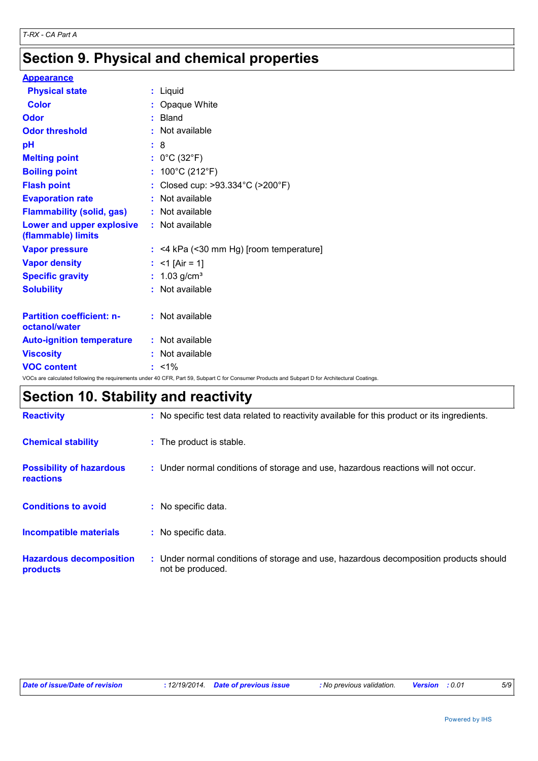### **Section 9. Physical and chemical properties**

| <b>Appearance</b>                                                                                                                               |  |                                           |
|-------------------------------------------------------------------------------------------------------------------------------------------------|--|-------------------------------------------|
| <b>Physical state</b>                                                                                                                           |  | : Liquid                                  |
| <b>Color</b>                                                                                                                                    |  | : Opaque White                            |
| Odor                                                                                                                                            |  | $:$ Bland                                 |
| <b>Odor threshold</b>                                                                                                                           |  | : Not available                           |
| pH                                                                                                                                              |  | : 8                                       |
| <b>Melting point</b>                                                                                                                            |  | : $0^{\circ}$ C (32 $^{\circ}$ F)         |
| <b>Boiling point</b>                                                                                                                            |  | : $100^{\circ}$ C (212 $^{\circ}$ F)      |
| <b>Flash point</b>                                                                                                                              |  | : Closed cup: >93.334°C (>200°F)          |
| <b>Evaporation rate</b>                                                                                                                         |  | : Not available                           |
| <b>Flammability (solid, gas)</b>                                                                                                                |  | : Not available                           |
| Lower and upper explosive<br>(flammable) limits                                                                                                 |  | : Not available                           |
| <b>Vapor pressure</b>                                                                                                                           |  | $:$ <4 kPa (<30 mm Hg) [room temperature] |
| <b>Vapor density</b>                                                                                                                            |  | : <1 [Air = 1]                            |
| <b>Specific gravity</b>                                                                                                                         |  | : $1.03$ g/cm <sup>3</sup>                |
| <b>Solubility</b>                                                                                                                               |  | : Not available                           |
| <b>Partition coefficient: n-</b><br>octanol/water                                                                                               |  | : Not available                           |
| <b>Auto-ignition temperature</b>                                                                                                                |  | : Not available                           |
| <b>Viscosity</b>                                                                                                                                |  | : Not available                           |
| <b>VOC content</b>                                                                                                                              |  | $: 1\frac{9}{6}$                          |
| VOCs are calculated following the requirements under 40 CFR, Part 59, Subpart C for Consumer Products and Subpart D for Architectural Coatings. |  |                                           |

## **Section 10. Stability and reactivity**

| <b>Reactivity</b>                                   | : No specific test data related to reactivity available for this product or its ingredients.              |
|-----------------------------------------------------|-----------------------------------------------------------------------------------------------------------|
| <b>Chemical stability</b>                           | : The product is stable.                                                                                  |
| <b>Possibility of hazardous</b><br><b>reactions</b> | : Under normal conditions of storage and use, hazardous reactions will not occur.                         |
| <b>Conditions to avoid</b>                          | : No specific data.                                                                                       |
| <b>Incompatible materials</b>                       | : No specific data.                                                                                       |
| <b>Hazardous decomposition</b><br>products          | : Under normal conditions of storage and use, hazardous decomposition products should<br>not be produced. |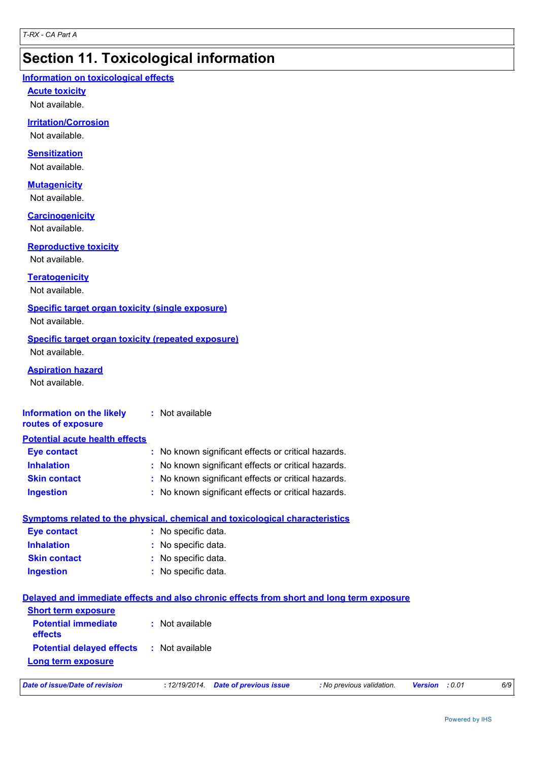### **Section 11. Toxicological information**

#### **Information on toxicological effects**

**Acute toxicity**

Not available.

#### **Irritation/Corrosion**

Not available.

#### **Sensitization**

Not available.

#### **Mutagenicity**

Not available.

#### **Carcinogenicity**

Not available.

#### **Reproductive toxicity**

Not available.

#### **Teratogenicity**

Not available.

#### **Specific target organ toxicity (single exposure)**

Not available.

#### **Specific target organ toxicity (repeated exposure)** Not available.

**Aspiration hazard**

Not available.

#### **Information on the likely routes of exposure :** Not available

| <b>Potential acute health effects</b> |                                                     |
|---------------------------------------|-----------------------------------------------------|
| <b>Eye contact</b>                    | : No known significant effects or critical hazards. |
| <b>Inhalation</b>                     | : No known significant effects or critical hazards. |
| <b>Skin contact</b>                   | : No known significant effects or critical hazards. |
| <b>Ingestion</b>                      | : No known significant effects or critical hazards. |

#### **Symptoms related to the physical, chemical and toxicological characteristics**

| <b>Eye contact</b>  | : No specific data. |
|---------------------|---------------------|
| <b>Inhalation</b>   | : No specific data. |
| <b>Skin contact</b> | : No specific data. |
| <b>Ingestion</b>    | : No specific data. |

### **Delayed and immediate effects and also chronic effects from short and long term exposure**

| <b>Short term exposure</b>            |                 |
|---------------------------------------|-----------------|
| <b>Potential immediate</b><br>effects | : Not available |
| <b>Potential delayed effects</b>      | : Not available |
| Long term exposure                    |                 |

| Date of issue/Date of revision |  |
|--------------------------------|--|
|--------------------------------|--|

*Date of issue/Date of revision* **:** *12/19/2014. Date of previous issue : No previous validation. Version : 0.01 6/9*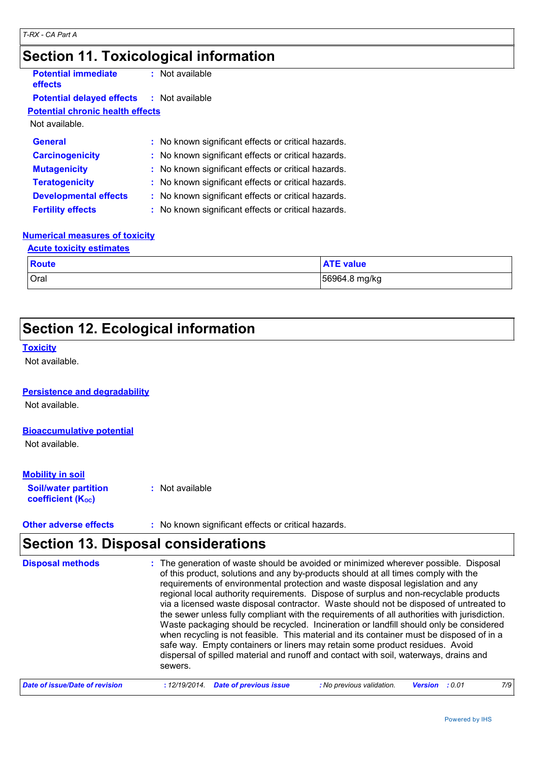### **Section 11. Toxicological information**

| <b>Potential immediate</b><br>effects   | $:$ Not available                                   |
|-----------------------------------------|-----------------------------------------------------|
| <b>Potential delayed effects</b>        | : Not available                                     |
| <b>Potential chronic health effects</b> |                                                     |
| Not available.                          |                                                     |
| General                                 | : No known significant effects or critical hazards. |
| <b>Carcinogenicity</b>                  | : No known significant effects or critical hazards. |
| <b>Mutagenicity</b>                     | : No known significant effects or critical hazards. |
| <b>Teratogenicity</b>                   | : No known significant effects or critical hazards. |
| <b>Developmental effects</b>            | : No known significant effects or critical hazards. |
| <b>Fertility effects</b>                | : No known significant effects or critical hazards. |

#### **Numerical measures of toxicity**

| <b>Acute toxicity estimates</b> |                  |  |
|---------------------------------|------------------|--|
| Route                           | <b>ATE</b> value |  |
| <b>Oral</b>                     | 56964.8 mg/kg    |  |

### **Section 12. Ecological information**

#### **Toxicity**

Not available.

#### **Persistence and degradability**

Not available.

#### **Bioaccumulative potential**

Not available.

#### **Mobility in soil**

**Soil/water partition coefficient (KOC) :** Not available

**Other adverse effects** : No known significant effects or critical hazards.

### **Section 13. Disposal considerations**

| <b>Disposal methods</b>        | : The generation of waste should be avoided or minimized wherever possible. Disposal<br>of this product, solutions and any by-products should at all times comply with the<br>requirements of environmental protection and waste disposal legislation and any<br>regional local authority requirements. Dispose of surplus and non-recyclable products<br>via a licensed waste disposal contractor. Waste should not be disposed of untreated to<br>the sewer unless fully compliant with the requirements of all authorities with jurisdiction.<br>Waste packaging should be recycled. Incineration or landfill should only be considered<br>when recycling is not feasible. This material and its container must be disposed of in a<br>safe way. Empty containers or liners may retain some product residues. Avoid<br>dispersal of spilled material and runoff and contact with soil, waterways, drains and<br>sewers. |
|--------------------------------|----------------------------------------------------------------------------------------------------------------------------------------------------------------------------------------------------------------------------------------------------------------------------------------------------------------------------------------------------------------------------------------------------------------------------------------------------------------------------------------------------------------------------------------------------------------------------------------------------------------------------------------------------------------------------------------------------------------------------------------------------------------------------------------------------------------------------------------------------------------------------------------------------------------------------|
| Date of issue/Date of revision | 7/9<br><b>Date of previous issue</b><br>: No previous validation.<br>: 12/19/2014.<br><b>Version</b> : 0.01                                                                                                                                                                                                                                                                                                                                                                                                                                                                                                                                                                                                                                                                                                                                                                                                                |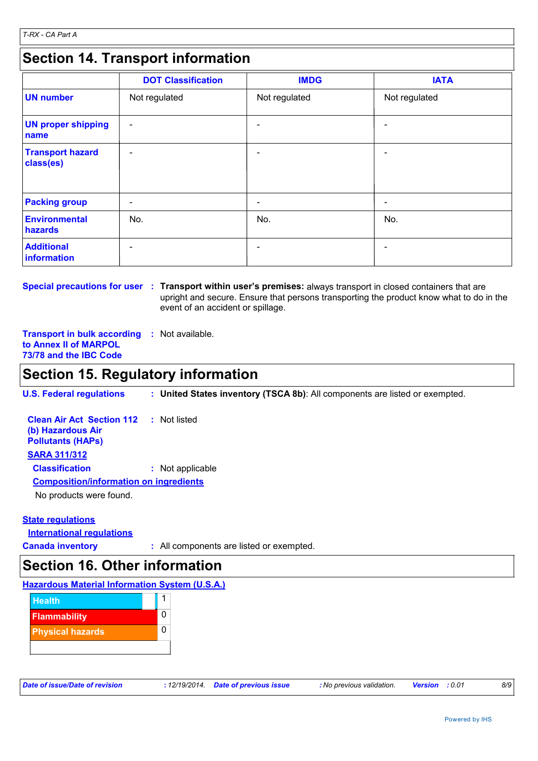### **Section 14. Transport information**

|                                      | <b>DOT Classification</b> | <b>IMDG</b>   | <b>IATA</b>              |
|--------------------------------------|---------------------------|---------------|--------------------------|
| <b>UN number</b>                     | Not regulated             | Not regulated | Not regulated            |
| <b>UN proper shipping</b><br>name    | $\overline{\phantom{a}}$  |               |                          |
| <b>Transport hazard</b><br>class(es) | $\qquad \qquad$           |               |                          |
| <b>Packing group</b>                 | $\overline{\phantom{a}}$  | -             | $\overline{\phantom{a}}$ |
| Environmental<br>hazards             | No.                       | No.           | No.                      |
| <b>Additional</b><br>information     | $\overline{\phantom{0}}$  |               |                          |

**Special precautions for user : Transport within user's premises: always transport in closed containers that are** upright and secure. Ensure that persons transporting the product know what to do in the event of an accident or spillage.

**Transport in bulk according :** Not available. **to Annex II of MARPOL 73/78 and the IBC Code**

### **Section 15. Regulatory information**

**U.S. Federal regulations : United States inventory (TSCA 8b)**: All components are listed or exempted.

| <b>Clean Air Act Section 112</b> : Not listed<br>(b) Hazardous Air<br><b>Pollutants (HAPS)</b> |                  |
|------------------------------------------------------------------------------------------------|------------------|
| <b>SARA 311/312</b>                                                                            |                  |
| <b>Classification</b>                                                                          | : Not applicable |
| <b>Composition/information on ingredients</b>                                                  |                  |
| No producto ware found                                                                         |                  |

No products were found.

#### **State regulations**

**International regulations**

**Canada inventory :** All components are listed or exempted.

### **Section 16. Other information**

#### **Hazardous Material Information System (U.S.A.)**



| Date of issue/Date of revision | : 12/19/2014. Date of previous issue |
|--------------------------------|--------------------------------------|
|                                |                                      |

*Date of issue/Date of revision* **:** *12/19/2014. Date of previous issue : No previous validation. Version : 0.01 8/9*